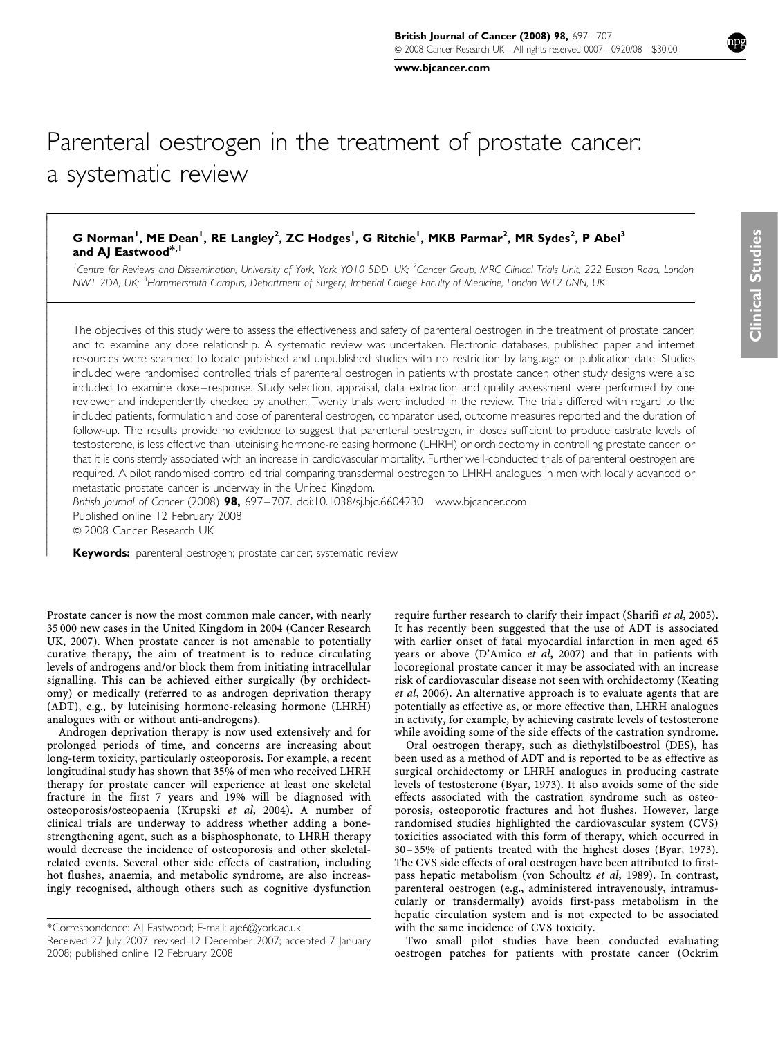[www.bjcancer.com](http://www.bjcancer.com)

# Parenteral oestrogen in the treatment of prostate cancer: a systematic review

## G Norman<sup>1</sup>, ME Dean<sup>1</sup>, RE Langley<sup>2</sup>, ZC Hodges<sup>1</sup>, G Ritchie<sup>1</sup>, MKB Parmar<sup>2</sup>, MR Sydes<sup>2</sup>, P Abel<sup>3</sup> and AJ Eastwood<sup>\*,1</sup>

<sup>1</sup> Centre for Reviews and Dissemination, University of York, York YO10 5DD, UK; <sup>2</sup> Cancer Group, MRC Clinical Trials Unit, 222 Euston Road, London NW1 2DA, UK; <sup>3</sup>Hammersmith Campus, Department of Surgery, Imperial College Faculty of Medicine, London W12 0NN, UK

The objectives of this study were to assess the effectiveness and safety of parenteral oestrogen in the treatment of prostate cancer, and to examine any dose relationship. A systematic review was undertaken. Electronic databases, published paper and internet resources were searched to locate published and unpublished studies with no restriction by language or publication date. Studies included were randomised controlled trials of parenteral oestrogen in patients with prostate cancer; other study designs were also included to examine dose–response. Study selection, appraisal, data extraction and quality assessment were performed by one reviewer and independently checked by another. Twenty trials were included in the review. The trials differed with regard to the included patients, formulation and dose of parenteral oestrogen, comparator used, outcome measures reported and the duration of follow-up. The results provide no evidence to suggest that parenteral oestrogen, in doses sufficient to produce castrate levels of testosterone, is less effective than luteinising hormone-releasing hormone (LHRH) or orchidectomy in controlling prostate cancer, or that it is consistently associated with an increase in cardiovascular mortality. Further well-conducted trials of parenteral oestrogen are required. A pilot randomised controlled trial comparing transdermal oestrogen to LHRH analogues in men with locally advanced or metastatic prostate cancer is underway in the United Kingdom.

British Journal of Cancer (2008) 98, 697-707. doi[:10.1038/sj.bjc.6604230](http://dx.doi.org/10.1038/sj.bjc.6604230) [www.bjcancer.com](http://www.bjcancer.com) Published online 12 February 2008 & 2008 Cancer Research UK

Keywords: parenteral oestrogen; prostate cancer; systematic review

Prostate cancer is now the most common male cancer, with nearly 35 000 new cases in the United Kingdom in 2004 [\(Cancer Research](#page-9-0) [UK, 2007](#page-9-0)). When prostate cancer is not amenable to potentially curative therapy, the aim of treatment is to reduce circulating levels of androgens and/or block them from initiating intracellular signalling. This can be achieved either surgically (by orchidectomy) or medically (referred to as androgen deprivation therapy (ADT), e.g., by luteinising hormone-releasing hormone (LHRH) analogues with or without anti-androgens).

 $\overline{1}$  $\overline{1}$  $\bigg\}$  $\bigg\}$  $\overline{\phantom{a}}$  $\overline{\phantom{a}}$  $\overline{\phantom{a}}$  $\bigg\}$  $\bigg\}$  $\overline{\phantom{a}}$  $\overline{\phantom{a}}$  $\overline{\phantom{a}}$ ļ ľ  $\bigg\}$  $\overline{\phantom{a}}$  $\overline{\phantom{a}}$  $\overline{\phantom{a}}$  $\overline{\phantom{a}}$  $\bigg\}$  $\bigg\}$  $\overline{\phantom{a}}$  $\overline{\phantom{a}}$  $\overline{\phantom{a}}$  $\bigg\}$  $\bigg\}$  $\overline{\phantom{a}}$  $\overline{\phantom{a}}$  $\overline{\phantom{a}}$  $\overline{\phantom{a}}$  $\bigg\}$  $\bigg\}$  $\overline{\phantom{a}}$  $\overline{\phantom{a}}$  $\overline{\phantom{a}}$  $\bigg\}$  $\bigg\}$  $\overline{\phantom{a}}$  $\overline{\phantom{a}}$  $\overline{\phantom{a}}$  $\overline{\phantom{a}}$  $\overline{\phantom{a}}$  $\overline{\phantom{a}}$  $\overline{\phantom{a}}$  $\overline{\phantom{a}}$  $\overline{\phantom{a}}$  $\overline{\phantom{a}}$  $\overline{\phantom{a}}$  $\overline{\phantom{a}}$ 

Androgen deprivation therapy is now used extensively and for prolonged periods of time, and concerns are increasing about long-term toxicity, particularly osteoporosis. For example, a recent longitudinal study has shown that 35% of men who received LHRH therapy for prostate cancer will experience at least one skeletal fracture in the first 7 years and 19% will be diagnosed with osteoporosis/osteopaenia ([Krupski](#page-10-0) et al, 2004). A number of clinical trials are underway to address whether adding a bonestrengthening agent, such as a bisphosphonate, to LHRH therapy would decrease the incidence of osteoporosis and other skeletalrelated events. Several other side effects of castration, including hot flushes, anaemia, and metabolic syndrome, are also increasingly recognised, although others such as cognitive dysfunction

\*Correspondence: AJ Eastwood; E-mail: [aje6@york.ac.uk](mailto:aje6@york.ac.uk)

Received 27 July 2007; revised 12 December 2007; accepted 7 January 2008; published online 12 February 2008

require further research to clarify their impact ([Sharifi](#page-10-0) et al, 2005). It has recently been suggested that the use of ADT is associated with earlier onset of fatal myocardial infarction in men aged 65 years or above ([D'Amico](#page-9-0) et al, 2007) and that in patients with locoregional prostate cancer it may be associated with an increase risk of cardiovascular disease not seen with orchidectomy [\(Keating](#page-10-0) et al[, 2006\)](#page-10-0). An alternative approach is to evaluate agents that are potentially as effective as, or more effective than, LHRH analogues in activity, for example, by achieving castrate levels of testosterone while avoiding some of the side effects of the castration syndrome.

Oral oestrogen therapy, such as diethylstilboestrol (DES), has been used as a method of ADT and is reported to be as effective as surgical orchidectomy or LHRH analogues in producing castrate levels of testosterone ([Byar, 1973](#page-9-0)). It also avoids some of the side effects associated with the castration syndrome such as osteoporosis, osteoporotic fractures and hot flushes. However, large randomised studies highlighted the cardiovascular system (CVS) toxicities associated with this form of therapy, which occurred in 30–35% of patients treated with the highest doses [\(Byar, 1973\)](#page-9-0). The CVS side effects of oral oestrogen have been attributed to firstpass hepatic metabolism ([von Schoultz](#page-10-0) et al, 1989). In contrast, parenteral oestrogen (e.g., administered intravenously, intramuscularly or transdermally) avoids first-pass metabolism in the hepatic circulation system and is not expected to be associated with the same incidence of CVS toxicity.

Two small pilot studies have been conducted evaluating oestrogen patches for patients with prostate cancer ([Ockrim](#page-10-0)

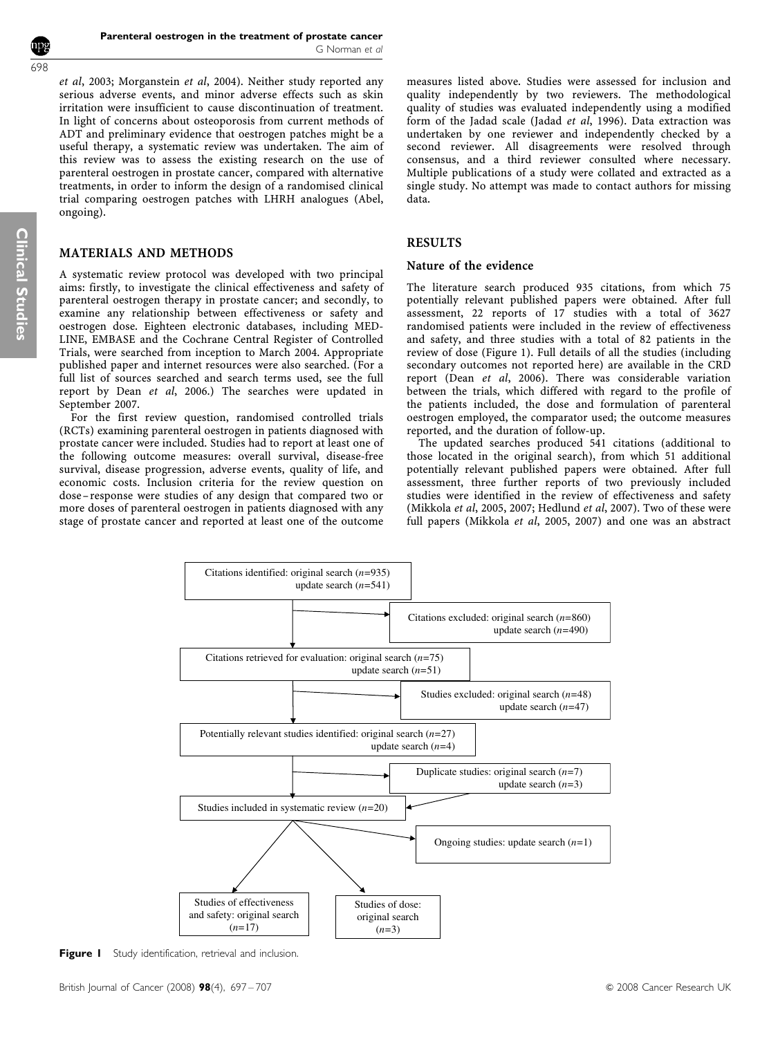et al[, 2003](#page-10-0); [Morganstein](#page-10-0) et al, 2004). Neither study reported any serious adverse events, and minor adverse effects such as skin irritation were insufficient to cause discontinuation of treatment. In light of concerns about osteoporosis from current methods of ADT and preliminary evidence that oestrogen patches might be a useful therapy, a systematic review was undertaken. The aim of this review was to assess the existing research on the use of parenteral oestrogen in prostate cancer, compared with alternative treatments, in order to inform the design of a randomised clinical trial comparing oestrogen patches with LHRH analogues [\(Abel,](#page-9-0) [ongoing\)](#page-9-0).

## MATERIALS AND METHODS

A systematic review protocol was developed with two principal aims: firstly, to investigate the clinical effectiveness and safety of parenteral oestrogen therapy in prostate cancer; and secondly, to examine any relationship between effectiveness or safety and oestrogen dose. Eighteen electronic databases, including MED-LINE, EMBASE and the Cochrane Central Register of Controlled Trials, were searched from inception to March 2004. Appropriate published paper and internet resources were also searched. (For a full list of sources searched and search terms used, see the full report by Dean et al[, 2006.](#page-9-0)) The searches were updated in September 2007.

For the first review question, randomised controlled trials (RCTs) examining parenteral oestrogen in patients diagnosed with prostate cancer were included. Studies had to report at least one of the following outcome measures: overall survival, disease-free survival, disease progression, adverse events, quality of life, and economic costs. Inclusion criteria for the review question on dose–response were studies of any design that compared two or more doses of parenteral oestrogen in patients diagnosed with any stage of prostate cancer and reported at least one of the outcome measures listed above. Studies were assessed for inclusion and quality independently by two reviewers. The methodological quality of studies was evaluated independently using a modified form of the Jadad scale (Jadad *et al.* 1996). Data extraction was undertaken by one reviewer and independently checked by a second reviewer. All disagreements were resolved through consensus, and a third reviewer consulted where necessary. Multiple publications of a study were collated and extracted as a single study. No attempt was made to contact authors for missing data.

#### RESULTS

#### Nature of the evidence

The literature search produced 935 citations, from which 75 potentially relevant published papers were obtained. After full assessment, 22 reports of 17 studies with a total of 3627 randomised patients were included in the review of effectiveness and safety, and three studies with a total of 82 patients in the review of dose (Figure 1). Full details of all the studies (including secondary outcomes not reported here) are available in the CRD report (Dean et al[, 2006](#page-9-0)). There was considerable variation between the trials, which differed with regard to the profile of the patients included, the dose and formulation of parenteral oestrogen employed, the comparator used; the outcome measures reported, and the duration of follow-up.

The updated searches produced 541 citations (additional to those located in the original search), from which 51 additional potentially relevant published papers were obtained. After full assessment, three further reports of two previously included studies were identified in the review of effectiveness and safety (Mikkola et al[, 2005, 2007](#page-10-0); [Hedlund](#page-9-0) et al, 2007). Two of these were full papers (Mikkola et al[, 2005, 2007](#page-10-0)) and one was an abstract



Figure I Study identification, retrieval and inclusion.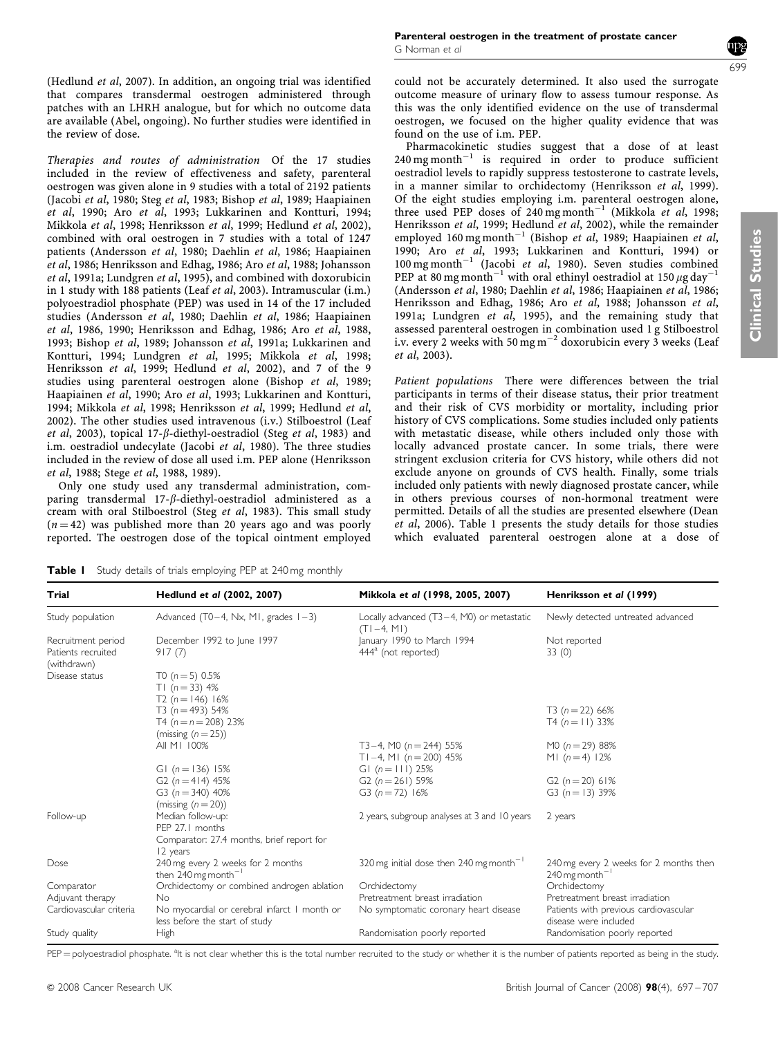[\(Hedlund](#page-9-0) et al, 2007). In addition, an ongoing trial was identified that compares transdermal oestrogen administered through patches with an LHRH analogue, but for which no outcome data are available [\(Abel, ongoing](#page-9-0)). No further studies were identified in the review of dose.

Therapies and routes of administration Of the 17 studies included in the review of effectiveness and safety, parenteral oestrogen was given alone in 9 studies with a total of 2192 patients [\(Jacobi](#page-10-0) et al, 1980; Steg et al[, 1983;](#page-10-0) [Bishop](#page-9-0) et al, 1989; [Haapiainen](#page-9-0) et al[, 1990;](#page-9-0) Aro et al[, 1993](#page-9-0); [Lukkarinen and Kontturi, 1994;](#page-10-0) [Mikkola](#page-10-0) et al, 1998; [Henriksson](#page-9-0) et al, 1999; [Hedlund](#page-9-0) et al, 2002), combined with oral oestrogen in 7 studies with a total of 1247 patients [\(Andersson](#page-9-0) et al, 1980; [Daehlin](#page-9-0) et al, 1986; [Haapiainen](#page-9-0) et al[, 1986](#page-9-0); [Henriksson and Edhag, 1986](#page-9-0); Aro et al[, 1988](#page-9-0); [Johansson](#page-10-0) et al[, 1991a](#page-10-0); [Lundgren](#page-10-0) et al, 1995), and combined with doxorubicin in 1 study with 188 patients (Leaf et al[, 2003](#page-10-0)). Intramuscular (i.m.) polyoestradiol phosphate (PEP) was used in 14 of the 17 included studies [\(Andersson](#page-9-0) et al, 1980; [Daehlin](#page-9-0) et al, 1986; [Haapiainen](#page-9-0) et al[, 1986, 1990; Henriksson and Edhag, 1986;](#page-9-0) Aro et al[, 1988,](#page-9-0) [1993](#page-9-0); [Bishop](#page-9-0) et al, 1989; [Johansson](#page-10-0) et al, 1991a; [Lukkarinen and](#page-10-0) [Kontturi, 1994; Lundgren](#page-10-0) et al, 1995; [Mikkola](#page-10-0) et al, 1998; [Henriksson](#page-9-0) et al, 1999; [Hedlund](#page-9-0) et al, 2002), and 7 of the 9 studies using parenteral oestrogen alone ([Bishop](#page-9-0) et al, 1989; [Haapiainen](#page-9-0) et al, 1990; Aro et al[, 1993;](#page-9-0) [Lukkarinen and Kontturi,](#page-10-0) [1994](#page-10-0); [Mikkola](#page-10-0) et al, 1998; [Henriksson](#page-9-0) et al, 1999; [Hedlund](#page-9-0) et al, [2002](#page-9-0)). The other studies used intravenous (i.v.) Stilboestrol [\(Leaf](#page-10-0) et al[, 2003\)](#page-10-0), topical 17- $\beta$ -diethyl-oestradiol (Steg et al[, 1983](#page-10-0)) and i.m. oestradiol undecylate [\(Jacobi](#page-10-0) et al, 1980). The three studies included in the review of dose all used i.m. PEP alone [\(Henriksson](#page-9-0) et al[, 1988;](#page-9-0) Stege et al[, 1988, 1989\)](#page-10-0).

Only one study used any transdermal administration, comparing transdermal  $17-\beta$ -diethyl-oestradiol administered as a cream with oral Stilboestrol (Steg et al[, 1983\)](#page-10-0). This small study  $(n = 42)$  was published more than 20 years ago and was poorly reported. The oestrogen dose of the topical ointment employed **Clinical Studies** Clinical Studies

could not be accurately determined. It also used the surrogate outcome measure of urinary flow to assess tumour response. As this was the only identified evidence on the use of transdermal oestrogen, we focused on the higher quality evidence that was found on the use of i.m. PEP.

Pharmacokinetic studies suggest that a dose of at least  $240$  mg month<sup>-1</sup> is required in order to produce sufficient oestradiol levels to rapidly suppress testosterone to castrate levels, in a manner similar to orchidectomy ([Henriksson](#page-9-0) et al, 1999). Of the eight studies employing i.m. parenteral oestrogen alone, three used PEP doses of 240 mg month<sup>-1</sup> [\(Mikkola](#page-10-0) et al, 1998; [Henriksson](#page-9-0) et al, 1999; [Hedlund](#page-9-0) et al, 2002), while the remainder employed 160 mg month<sup>-1</sup> [\(Bishop](#page-9-0) et al, 1989; [Haapiainen](#page-9-0) et al, [1990](#page-9-0); Aro et al[, 1993;](#page-9-0) [Lukkarinen and Kontturi, 1994\)](#page-10-0) or 100 mg month<sup>-1</sup> (Jacobi *et al*[, 1980\)](#page-10-0). Seven studies combined<br>
<sup>DED</sup> at 80 mg month<sup>-1</sup> with and athing costradiol at 150 w day<sup>-1</sup> PEP at 80 mg month<sup>-1</sup> with oral ethinyl oestradiol at 150  $\mu$ g day<sup>-1</sup> [\(Andersson](#page-9-0) et al, 1980; [Daehlin](#page-9-0) et al, 1986; [Haapiainen](#page-9-0) et al, 1986; [Henriksson and Edhag, 1986](#page-9-0); Aro et al[, 1988;](#page-9-0) [Johansson](#page-10-0) et al, [1991a](#page-10-0); [Lundgren](#page-10-0) et al, 1995), and the remaining study that assessed parenteral oestrogen in combination used 1 g Stilboestrol i.v. every 2 weeks with 50 mg m $^{-2}$  doxorubicin every 3 weeks [\(Leaf](#page-10-0) et al[, 2003\)](#page-10-0).

Patient populations There were differences between the trial participants in terms of their disease status, their prior treatment and their risk of CVS morbidity or mortality, including prior history of CVS complications. Some studies included only patients with metastatic disease, while others included only those with locally advanced prostate cancer. In some trials, there were stringent exclusion criteria for CVS history, while others did not exclude anyone on grounds of CVS health. Finally, some trials included only patients with newly diagnosed prostate cancer, while in others previous courses of non-hormonal treatment were permitted. Details of all the studies are presented elsewhere ([Dean](#page-9-0) et al[, 2006](#page-9-0)). Table 1 presents the study details for those studies which evaluated parenteral oestrogen alone at a dose of

**Table I** Study details of trials employing PEP at 240 mg monthly

 $T1 (n - 33) 4%$ 

|                         | $T2(n=146)$ 16%                                                                |                                                     |                                                                |
|-------------------------|--------------------------------------------------------------------------------|-----------------------------------------------------|----------------------------------------------------------------|
|                         | T3 $(n = 493)$ 54%                                                             |                                                     | T3 $(n = 22)$ 66%                                              |
|                         | T4 $(n = n = 208)$ 23%                                                         |                                                     | T4 $(n = 11)$ 33%                                              |
|                         | (missing $(n = 25)$ )                                                          |                                                     |                                                                |
|                         | AII MI 100%                                                                    | T3-4, M0 ( $n = 244$ ) 55%                          | M0 $(n = 29)$ 88%                                              |
|                         |                                                                                | TI-4, MI $(n = 200)$ 45%                            | MI $(n=4)$ 12%                                                 |
|                         | GI $(n = 136) 15%$                                                             | GI $(n = 111)$ 25%                                  |                                                                |
|                         | G2 $(n=414)$ 45%                                                               | G2 $(n = 261)$ 59%                                  | G2 $(n = 20)$ 61%                                              |
|                         | G3 ( $n = 340$ ) 40%                                                           | G3 $(n=72)$ 16%                                     | G3 $(n = 13)$ 39%                                              |
|                         | (missing $(n=20)$ )                                                            |                                                     |                                                                |
| Follow-up               | Median follow-up:                                                              | 2 years, subgroup analyses at 3 and 10 years        | 2 years                                                        |
|                         | PEP 27.1 months                                                                |                                                     |                                                                |
|                         | Comparator: 27.4 months, brief report for                                      |                                                     |                                                                |
|                         | 12 years                                                                       |                                                     |                                                                |
| Dose                    | 240 mg every 2 weeks for 2 months                                              | 320 mg initial dose then 240 mg month <sup>-1</sup> | 240 mg every 2 weeks for 2 months then                         |
|                         | then 240 mg month <sup>-1</sup>                                                |                                                     | $240$ mg month <sup>-1</sup>                                   |
| Comparator              | Orchidectomy or combined androgen ablation                                     | Orchidectomy                                        | Orchidectomy                                                   |
| Adjuvant therapy        | No.                                                                            | Pretreatment breast irradiation                     | Pretreatment breast irradiation                                |
| Cardiovascular criteria | No myocardial or cerebral infarct 1 month or<br>less before the start of study | No symptomatic coronary heart disease               | Patients with previous cardiovascular<br>disease were included |
| Study quality           | High                                                                           | Randomisation poorly reported                       | Randomisation poorly reported                                  |
|                         |                                                                                |                                                     |                                                                |

Trial Hedlund et al [\(2002, 2007\)](#page-9-0) Mikkola et al [\(1998, 2005, 2007\)](#page-10-0) [Henriksson](#page-9-0) et al (1999)

Recruitment period December 1992 to June 1997 January 1990 to March 1994 Not reported<br>Patients recruited 917 (7) 13 (0)

(T1–4, M1)

 $444<sup>a</sup>$  (not reported)

Study population Advanced (T0–4, Nx, M1, grades 1–3) Locally advanced (T3–4, M0) or metastatic

PEP = polyoestradiol phosphate. <sup>a</sup>lt is not clear whether this is the total number recruited to the study or whether it is the number of patients reported as being in the study.

Patients recruited (withdrawn)

 $\sum_{n=5}^{\infty}$  Osease status T0 (n = 5) 0.5%

Newly detected untreated advanced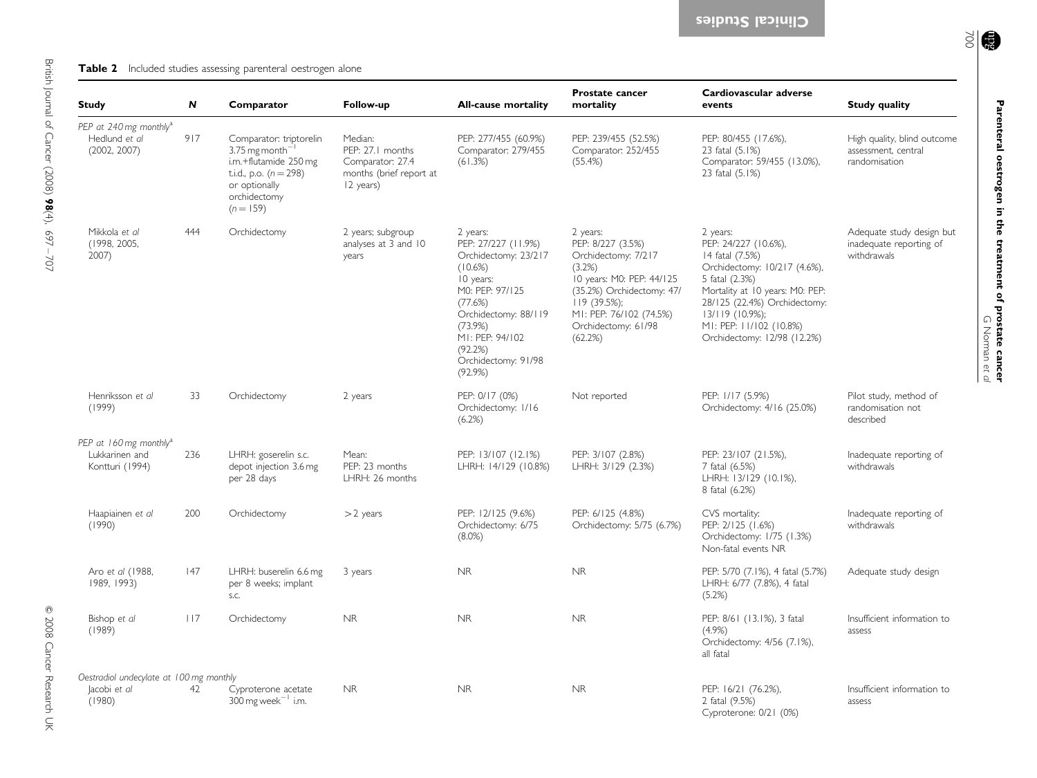#### <span id="page-3-0"></span>**Table 2** Included studies assessing parenteral oestrogen alone

| <b>Study</b>                                                            | N   | Comparator                                                                                                                                             | Follow-up                                                                               | <b>All-cause mortality</b>                                                                                                                                                                                       | <b>Prostate cancer</b><br>mortality                                                                                                                                                                      | Cardiovascular adverse<br>events                                                                                                                                                                                                                        | <b>Study quality</b>                                                |
|-------------------------------------------------------------------------|-----|--------------------------------------------------------------------------------------------------------------------------------------------------------|-----------------------------------------------------------------------------------------|------------------------------------------------------------------------------------------------------------------------------------------------------------------------------------------------------------------|----------------------------------------------------------------------------------------------------------------------------------------------------------------------------------------------------------|---------------------------------------------------------------------------------------------------------------------------------------------------------------------------------------------------------------------------------------------------------|---------------------------------------------------------------------|
| PEP at 240 mg monthly <sup>a</sup><br>Hedlund et al<br>(2002, 2007)     | 917 | Comparator: triptorelin<br>$3.75$ mg month $^{-}$<br>i.m.+flutamide 250 mg<br>t.i.d., p.o. $(n = 298)$<br>or optionally<br>orchidectomy<br>$(n = 159)$ | Median:<br>PEP: 27.1 months<br>Comparator: 27.4<br>months (brief report at<br>12 years) | PEP: 277/455 (60.9%)<br>Comparator: 279/455<br>(61.3%)                                                                                                                                                           | PEP: 239/455 (52.5%)<br>Comparator: 252/455<br>(55.4%)                                                                                                                                                   | PEP: 80/455 (17.6%),<br>23 fatal (5.1%)<br>Comparator: 59/455 (13.0%),<br>23 fatal (5.1%)                                                                                                                                                               | High quality, blind outcome<br>assessment, central<br>randomisation |
| Mikkola et al<br>(1998, 2005,<br>2007)                                  | 444 | Orchidectomy                                                                                                                                           | 2 years; subgroup<br>analyses at 3 and 10<br>years                                      | 2 years:<br>PEP: 27/227 (11.9%)<br>Orchidectomy: 23/217<br>(10.6%)<br>10 years:<br>M0: PEP: 97/125<br>(77.6%)<br>Orchidectomy: 88/119<br>(73.9%)<br>MI: PEP: 94/102<br>(92.2%)<br>Orchidectomy: 91/98<br>(92.9%) | 2 years:<br>PEP: 8/227 (3.5%)<br>Orchidectomy: 7/217<br>(3.2%)<br>10 years: M0: PEP: 44/125<br>(35.2%) Orchidectomy: 47/<br>$119(39.5\%)$ ;<br>MI: PEP: 76/102 (74.5%)<br>Orchidectomy: 61/98<br>(62.2%) | 2 years:<br>PEP: 24/227 (10.6%),<br>14 fatal (7.5%)<br>Orchidectomy: 10/217 (4.6%),<br>5 fatal (2.3%)<br>Mortality at 10 years: M0: PEP:<br>28/125 (22.4%) Orchidectomy:<br>$13/119$ (10.9%);<br>MI: PEP: 11/102 (10.8%)<br>Orchidectomy: 12/98 (12.2%) | Adequate study design but<br>inadequate reporting of<br>withdrawals |
| Henriksson et al<br>(1999)                                              | 33  | Orchidectomy                                                                                                                                           | 2 years                                                                                 | PEP: 0/17 (0%)<br>Orchidectomy: 1/16<br>(6.2%)                                                                                                                                                                   | Not reported                                                                                                                                                                                             | PEP: 1/17 (5.9%)<br>Orchidectomy: 4/16 (25.0%)                                                                                                                                                                                                          | Pilot study, method of<br>randomisation not<br>described            |
| PEP at 160 mg monthly <sup>a</sup><br>Lukkarinen and<br>Kontturi (1994) | 236 | LHRH: goserelin s.c.<br>depot injection 3.6 mg<br>per 28 days                                                                                          | Mean:<br>PEP: 23 months<br>LHRH: 26 months                                              | PEP: 13/107 (12.1%)<br>LHRH: 14/129 (10.8%)                                                                                                                                                                      | PEP: 3/107 (2.8%)<br>LHRH: 3/129 (2.3%)                                                                                                                                                                  | PEP: 23/107 (21.5%),<br>7 fatal (6.5%)<br>LHRH: 13/129 (10.1%),<br>8 fatal (6.2%)                                                                                                                                                                       | Inadequate reporting of<br>withdrawals                              |
| Haapiainen et al<br>(1990)                                              | 200 | Orchidectomy                                                                                                                                           | $>2$ years                                                                              | PEP: 12/125 (9.6%)<br>Orchidectomy: 6/75<br>$(8.0\%)$                                                                                                                                                            | PEP: 6/125 (4.8%)<br>Orchidectomy: 5/75 (6.7%)                                                                                                                                                           | CVS mortality:<br>PEP: 2/125 (1.6%)<br>Orchidectomy: 1/75 (1.3%)<br>Non-fatal events NR                                                                                                                                                                 | Inadequate reporting of<br>withdrawals                              |
| Aro et al (1988,<br>1989, 1993)                                         | 47  | LHRH: buserelin 6.6 mg<br>per 8 weeks; implant<br>S.C.                                                                                                 | 3 years                                                                                 | NR.                                                                                                                                                                                                              | <b>NR</b>                                                                                                                                                                                                | PEP: 5/70 (7.1%), 4 fatal (5.7%)<br>LHRH: 6/77 (7.8%), 4 fatal<br>(5.2%)                                                                                                                                                                                | Adequate study design                                               |
| Bishop et al<br>(1989)                                                  | 117 | Orchidectomy                                                                                                                                           | <b>NR</b>                                                                               | <b>NR</b>                                                                                                                                                                                                        | <b>NR</b>                                                                                                                                                                                                | PEP: 8/61 (13.1%), 3 fatal<br>$(4.9\%)$<br>Orchidectomy: 4/56 (7.1%),<br>all fatal                                                                                                                                                                      | Insufficient information to<br>assess                               |
| Oestradiol undecylate at 100 mg monthly                                 |     |                                                                                                                                                        |                                                                                         |                                                                                                                                                                                                                  |                                                                                                                                                                                                          |                                                                                                                                                                                                                                                         |                                                                     |
| Jacobi et al<br>(1980)                                                  | 42  | Cyproterone acetate<br>$300$ mg week <sup>-1</sup> i.m.                                                                                                | <b>NR</b>                                                                               | <b>NR</b>                                                                                                                                                                                                        | <b>NR</b>                                                                                                                                                                                                | PEP: 16/21 (76.2%),<br>2 fatal (9.5%)<br>Cyproterone: 0/21 (0%)                                                                                                                                                                                         | Insufficient information to<br>assess                               |

 $\frac{1}{2}$ 

Parenteral oestrogen in the treatment of prostate cancer

G Norman

et al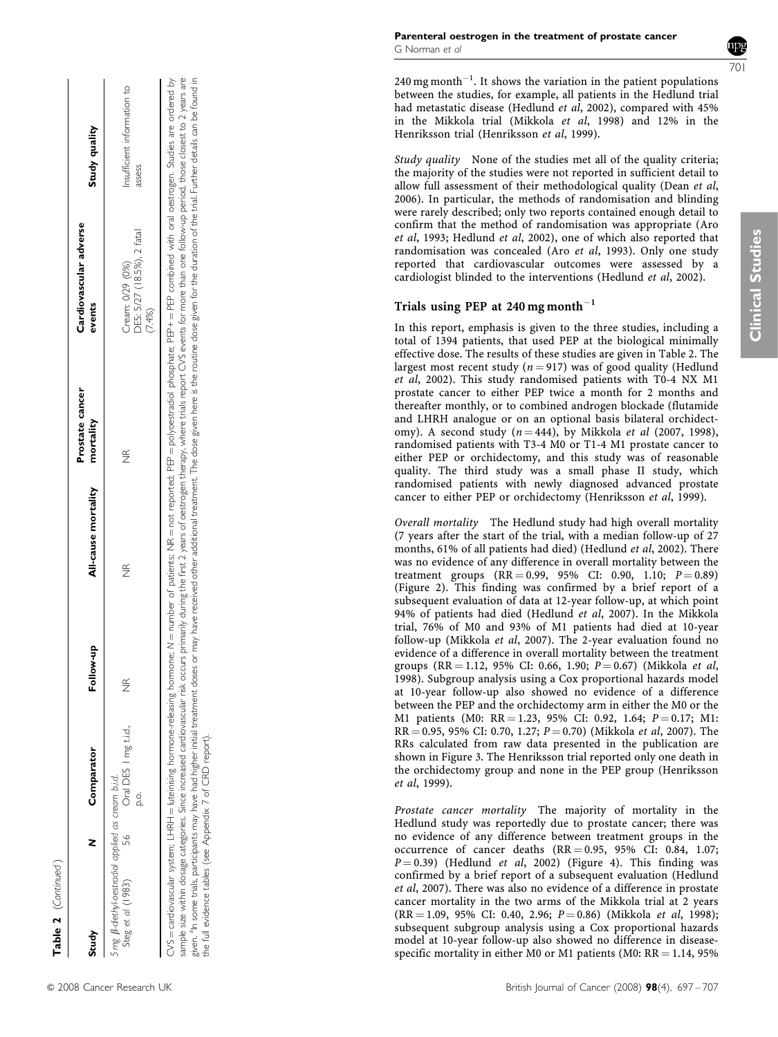|  | © 2008 Cancer Research Uk |  |
|--|---------------------------|--|

| Study                                                                  | z       | Comparator                      | Follow-up          | All-cause mortality mortality |                    | events                                                                                                                                                                                                                | Study quality                         |
|------------------------------------------------------------------------|---------|---------------------------------|--------------------|-------------------------------|--------------------|-----------------------------------------------------------------------------------------------------------------------------------------------------------------------------------------------------------------------|---------------------------------------|
| 5 mg ß-diethyl-oestradiol applied as cream b.i.d.<br>Steg et al (1983) | 56<br>9 | Oral DES I mg ti.d.,<br>o.<br>Q | $\frac{\alpha}{Z}$ | $\frac{\alpha}{Z}$            | $\frac{\alpha}{Z}$ | DES: 5/27 (18.5%), 2 fatal<br>Cream: 0/29 (0%)<br>7.4%)                                                                                                                                                               | Insufficient information to<br>assess |
|                                                                        |         |                                 |                    |                               |                    | CVS = cardiovascular system; LHRH = luteinising hormone-releasing hormone; N = number of patients; NR = not reported; PEP = polyoestradiol phosphate; PEP+ = PEP combined with oral oestrogen. Studies are ordered by |                                       |

Prostate cancer Prostate cancer<br>mortality

Cardiovascular adverse

Cardiovascular adverse<br>events

 $\overline{\phantom{a}}$ 

CVS = cardiovascular system; LHRH = luteinising hormone-releasing hormone; N = number of patients; NR = not reported; PEP = polyostradiol phosphate; PEP + = PEP combined with oral oestrogen. Studies are ordered by<br>siample sample size within dosage categories. Since increased carreloxes of searcy bearly during the first 2 years of oestrogen therapy, where trials report CVS events for more than one follow-up period, those closest to 2 years a given. <sup>a</sup>n some trials, participants may have had higher initial treatment doses corved other additional treatment. The dose given here is the routine dose given for the duration of the trial. Further details can be found given. <sup>a</sup>n some tricipants may have had higher initial treatment doses or may have received other additional treatment. The dose given here is the routine dose given for the duration of the trial. Further details can be f the full evidence tables (see Appendix 7 of CRD report). the full evidence tables (see Appendix 7 of CRD report).

240 mg month $^{-1}$ . It shows the variation in the patient populations between the studies, for example, all patients in the Hedlund trial had metastatic disease [\(Hedlund](#page-9-0) et al, 2002), compared with 45% in the Mikkola trial [\(Mikkola](#page-10-0) et al, 1998) and 12% in the Henriksson trial [\(Henriksson](#page-9-0) et al, 1999).

Study quality None of the studies met all of the quality criteria; the majority of the studies were not reported in sufficient detail to allow full assessment of their methodological quality [\(Dean](#page-9-0) et al, [2006](#page-9-0)). In particular, the methods of randomisation and blinding were rarely described; only two reports contained enough detail to confirm that the method of randomisation was appropriate ([Aro](#page-9-0) et al[, 1993](#page-9-0); [Hedlund](#page-9-0) et al, 2002), one of which also reported that randomisation was concealed (Aro et al[, 1993\)](#page-9-0). Only one study reported that cardiovascular outcomes were assessed by a cardiologist blinded to the interventions [\(Hedlund](#page-9-0) et al, 2002).

# Trials using PEP at 240 mg month $^{-1}$

In this report, emphasis is given to the three studies, including a total of 1394 patients, that used PEP at the biological minimally effective dose. The results of these studies are given in [Table 2](#page-3-0). The largest most recent study ( $n = 917$ ) was of good quality ([Hedlund](#page-9-0) et al[, 2002](#page-9-0)). This study randomised patients with T0-4 NX M1 prostate cancer to either PEP twice a month for 2 months and thereafter monthly, or to combined androgen blockade (flutamide and LHRH analogue or on an optional basis bilateral orchidectomy). A second study  $(n = 444)$ , by Mikkola *et al* [\(2007, 1998\)](#page-10-0), randomised patients with T3-4 M0 or T1-4 M1 prostate cancer to either PEP or orchidectomy, and this study was of reasonable quality. The third study was a small phase II study, which randomised patients with newly diagnosed advanced prostate cancer to either PEP or orchidectomy ([Henriksson](#page-9-0) et al, 1999).

Overall mortality The Hedlund study had high overall mortality (7 years after the start of the trial, with a median follow-up of 27 months, 61% of all patients had died) ([Hedlund](#page-9-0) et al, 2002). There was no evidence of any difference in overall mortality between the treatment groups (RR=0.99, 95% CI: 0.90, 1.10; P=0.89) [\(Figure 2\)](#page-5-0). This finding was confirmed by a brief report of a subsequent evaluation of data at 12-year follow-up, at which point 94% of patients had died ([Hedlund](#page-9-0) et al, 2007). In the Mikkola trial, 76% of M0 and 93% of M1 patients had died at 10-year follow-up [\(Mikkola](#page-10-0) et al, 2007). The 2-year evaluation found no evidence of a difference in overall mortality between the treatment groups (RR=1.12, 95% CI: 0.66, 1.90; *P*=0.67) [\(Mikkola](#page-10-0) *et al*, [1998](#page-10-0)). Subgroup analysis using a Cox proportional hazards model at 10-year follow-up also showed no evidence of a difference between the PEP and the orchidectomy arm in either the M0 or the M1 patients (M0: RR = 1.23, 95% CI: 0.92, 1.64; *P* = 0.17; M1: RR = 0.95, 95% CI: 0.70, 1.27; *P* = 0.70) [\(Mikkola](#page-10-0) *et al*, 2007). The RRs calculated from raw data presented in the publication are shown in [Figure 3](#page-5-0). The Henriksson trial reported only one death in the orchidectomy group and none in the PEP group [\(Henriksson](#page-9-0) et al[, 1999\)](#page-9-0).

Prostate cancer mortality The majority of mortality in the Hedlund study was reportedly due to prostate cancer; there was no evidence of any difference between treatment groups in the occurrence of cancer deaths  $(RR = 0.95, 95\% \text{ CI: } 0.84, 1.07;$  $P = 0.39$ ) ([Hedlund](#page-9-0) et al, 2002) ([Figure 4](#page-6-0)). This finding was confirmed by a brief report of a subsequent evaluation ([Hedlund](#page-9-0) et al[, 2007](#page-9-0)). There was also no evidence of a difference in prostate cancer mortality in the two arms of the Mikkola trial at 2 years (RR = 1.09, 95% CI: 0.40, 2.96; P = 0.86) ([Mikkola](#page-10-0) et al, 1998); subsequent subgroup analysis using a Cox proportional hazards model at 10-year follow-up also showed no difference in diseasespecific mortality in either M0 or M1 patients (M0:  $\text{RR}$   $=$  1.14, 95%

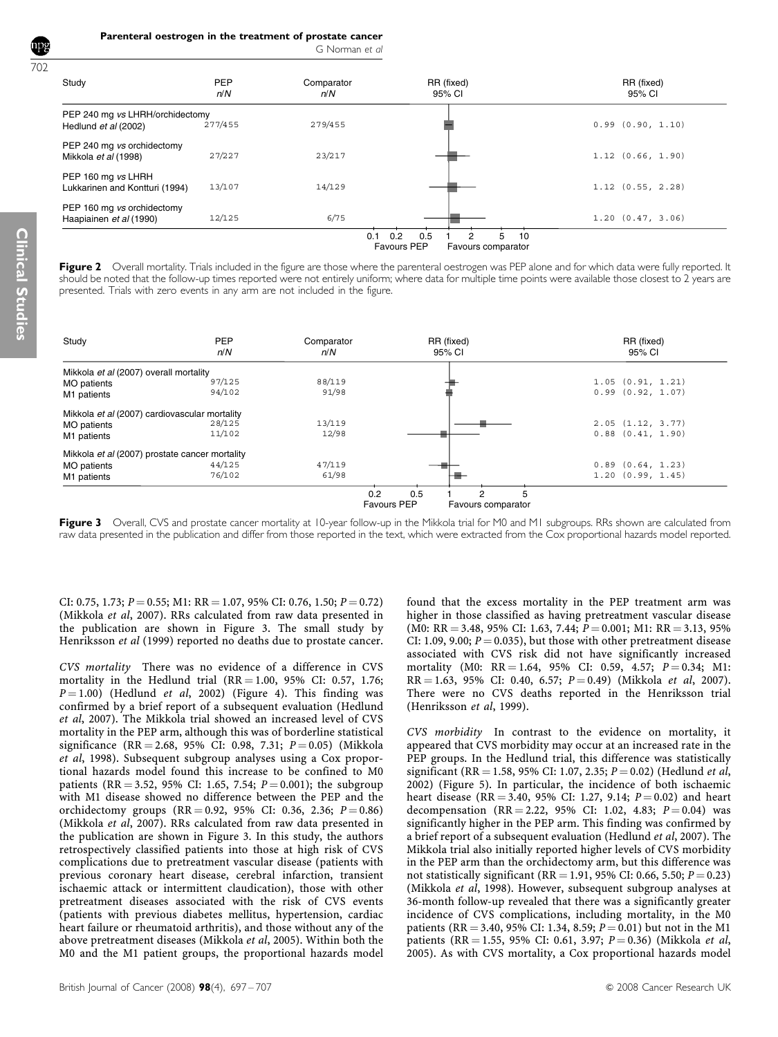Parenteral oestrogen in the treatment of prostate cancer

|  | G Norman et al |  |  |
|--|----------------|--|--|
|--|----------------|--|--|

<span id="page-5-0"></span>

| Study                                                   | PEP<br>n/N | Comparator<br>n/N | RR (fixed)<br>95% CI                                                   | RR (fixed)<br>95% CI  |  |  |
|---------------------------------------------------------|------------|-------------------|------------------------------------------------------------------------|-----------------------|--|--|
| PEP 240 mg vs LHRH/orchidectomy<br>Hedlund et al (2002) | 277/455    | 279/455           |                                                                        | $0.99$ $(0.90, 1.10)$ |  |  |
| PEP 240 mg vs orchidectomy<br>Mikkola et al (1998)      | 27/227     | 23/217            |                                                                        | 1.12(0.66, 1.90)      |  |  |
| PEP 160 mg vs LHRH<br>Lukkarinen and Kontturi (1994)    | 13/107     | 14/129            |                                                                        | $1.12$ $(0.55, 2.28)$ |  |  |
| PEP 160 mg vs orchidectomy<br>Haapiainen et al (1990)   | 12/125     | 6/75              |                                                                        | 1.20(0.47, 3.06)      |  |  |
|                                                         |            | 0.1               | 0.5<br>5<br>0.2<br>2<br>10<br><b>Favours PEP</b><br>Favours comparator |                       |  |  |

Figure 2 Overall mortality. Trials included in the figure are those where the parenteral oestrogen was PEP alone and for which data were fully reported. It should be noted that the follow-up times reported were not entirely uniform; where data for multiple time points were available those closest to 2 years are presented. Trials with zero events in any arm are not included in the figure.

| Study                                          | <b>PEP</b><br>n/N | Comparator<br>n/N | RR (fixed)<br>95% CI                                 | RR (fixed)<br>95% CI  |
|------------------------------------------------|-------------------|-------------------|------------------------------------------------------|-----------------------|
| Mikkola et al (2007) overall mortality         |                   |                   |                                                      |                       |
| <b>MO</b> patients                             | 97/125            | 88/119            |                                                      | 1.05(0.91, 1.21)      |
| M1 patients                                    | 94/102            | 91/98             |                                                      | $0.99$ $(0.92, 1.07)$ |
| Mikkola et al (2007) cardiovascular mortality  |                   |                   |                                                      |                       |
| MO patients                                    | 28/125            | 13/119            |                                                      | 2.05(1.12, 3.77)      |
| M1 patients                                    | 11/102            | 12/98             |                                                      | $0.88$ $(0.41, 1.90)$ |
| Mikkola et al (2007) prostate cancer mortality |                   |                   |                                                      |                       |
| <b>MO</b> patients                             | 44/125            | 47/119            |                                                      | $0.89$ $(0.64, 1.23)$ |
| M1 patients                                    | 76/102            | 61/98             |                                                      | 1.20(0.99, 1.45)      |
|                                                |                   | 0.2               | 0.5<br>5<br><b>Favours PEP</b><br>Favours comparator |                       |

Figure 3 Overall, CVS and prostate cancer mortality at 10-year follow-up in the Mikkola trial for M0 and M1 subgroups. RRs shown are calculated from raw data presented in the publication and differ from those reported in the text, which were extracted from the Cox proportional hazards model reported.

CI: 0.75, 1.73;  $P = 0.55$ ; M1: RR = 1.07, 95% CI: 0.76, 1.50;  $P = 0.72$ ) ([Mikkola](#page-10-0) et al, 2007). RRs calculated from raw data presented in the publication are shown in Figure 3. The small study by [Henriksson](#page-9-0) et al (1999) reported no deaths due to prostate cancer.

CVS mortality There was no evidence of a difference in CVS mortality in the Hedlund trial  $(RR = 1.00, 95\% \text{ CI: } 0.57, 1.76;$  $P = 1.00$ ) [\(Hedlund](#page-9-0) *et al*, 2002) (Figure 4). This finding was confirmed by a brief report of a subsequent evaluation [\(Hedlund](#page-9-0) et al[, 2007](#page-9-0)). The Mikkola trial showed an increased level of CVS mortality in the PEP arm, although this was of borderline statistical significance (RR = 2.68, 95% CI: 0.98, 7.31;  $P = 0.05$ ) ([Mikkola](#page-10-0) et al[, 1998\)](#page-10-0). Subsequent subgroup analyses using a Cox proportional hazards model found this increase to be confined to M0 patients (RR = 3.52, 95% CI: 1.65, 7.54;  $P = 0.001$ ); the subgroup with M1 disease showed no difference between the PEP and the orchidectomy groups  $(RR = 0.92, 95\% \text{ CI: } 0.36, 2.36; P = 0.86)$ ([Mikkola](#page-10-0) et al, 2007). RRs calculated from raw data presented in the publication are shown in Figure 3. In this study, the authors retrospectively classified patients into those at high risk of CVS complications due to pretreatment vascular disease (patients with previous coronary heart disease, cerebral infarction, transient ischaemic attack or intermittent claudication), those with other pretreatment diseases associated with the risk of CVS events (patients with previous diabetes mellitus, hypertension, cardiac heart failure or rheumatoid arthritis), and those without any of the above pretreatment diseases ([Mikkola](#page-10-0) et al, 2005). Within both the M0 and the M1 patient groups, the proportional hazards model

found that the excess mortality in the PEP treatment arm was higher in those classified as having pretreatment vascular disease  $(M0: RR = 3.48, 95\% \text{ CI: } 1.63, 7.44; P = 0.001; M1: RR = 3.13, 95\%$ CI: 1.09, 9.00;  $P = 0.035$ ), but those with other pretreatment disease associated with CVS risk did not have significantly increased mortality (M0: RR = 1.64, 95% CI: 0.59, 4.57;  $P = 0.34$ ; M1:  $RR = 1.63$ , 95% CI: 0.40, 6.57;  $P = 0.49$ ) ([Mikkola](#page-10-0) et al, 2007). There were no CVS deaths reported in the Henriksson trial ([Henriksson](#page-9-0) et al, 1999).

CVS morbidity In contrast to the evidence on mortality, it appeared that CVS morbidity may occur at an increased rate in the PEP groups. In the Hedlund trial, this difference was statistically significant (RR = 1.58, 95% CI: 1.07, 2.35;  $P = 0.02$ ) [\(Hedlund](#page-9-0) et al, [2002\)](#page-9-0) [\(Figure 5](#page-6-0)). In particular, the incidence of both ischaemic heart disease (RR = 3.40, 95% CI: 1.27, 9.14;  $P = 0.02$ ) and heart decompensation (RR = 2.22, 95% CI: 1.02, 4.83;  $P = 0.04$ ) was significantly higher in the PEP arm. This finding was confirmed by a brief report of a subsequent evaluation ([Hedlund](#page-9-0) et al, 2007). The Mikkola trial also initially reported higher levels of CVS morbidity in the PEP arm than the orchidectomy arm, but this difference was not statistically significant (RR = 1.91, 95% CI: 0.66, 5.50;  $P = 0.23$ ) ([Mikkola](#page-10-0) et al, 1998). However, subsequent subgroup analyses at 36-month follow-up revealed that there was a significantly greater incidence of CVS complications, including mortality, in the M0 patients (RR = 3.40, 95% CI: 1.34, 8.59;  $P = 0.01$ ) but not in the M1 patients (RR = 1.55, 95% CI: 0.61, 3.97;  $P = 0.36$ ) ([Mikkola](#page-10-0) et al, [2005\)](#page-10-0). As with CVS mortality, a Cox proportional hazards model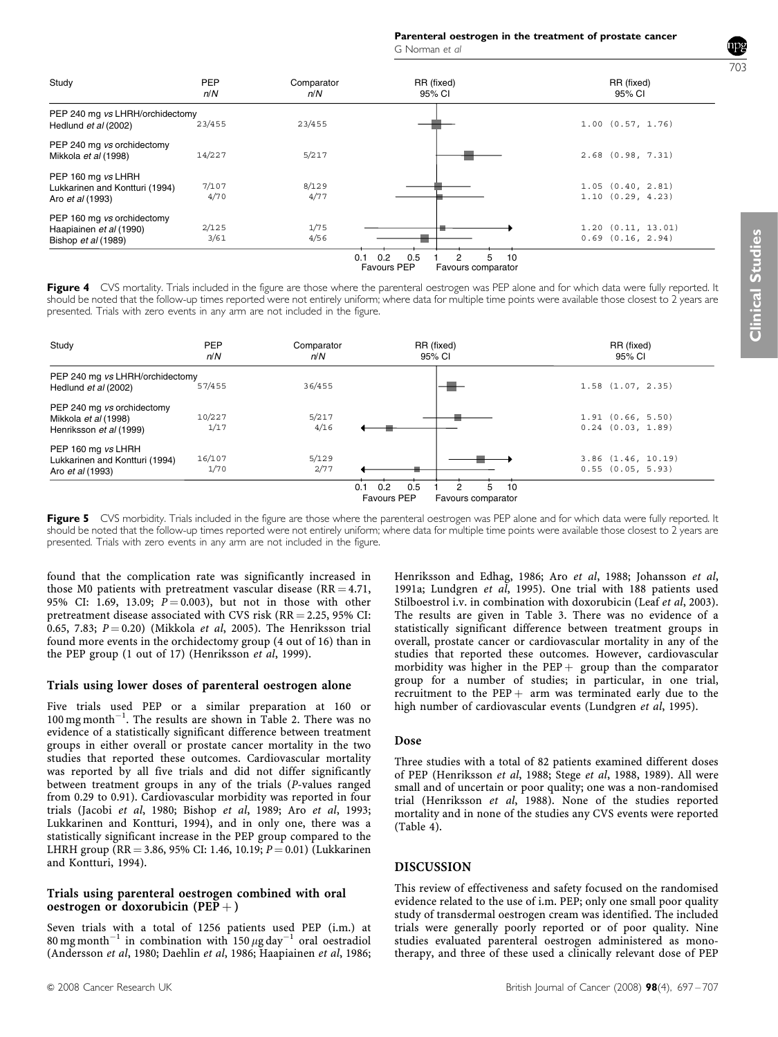Parenteral oestrogen in the treatment of prostate cancer G Norman et al

<span id="page-6-0"></span>

| Study                                                                           | <b>PEP</b><br>n/N | Comparator<br>n/N | RR (fixed)<br>95% CI                                                    | RR (fixed)<br>95% CI                       |
|---------------------------------------------------------------------------------|-------------------|-------------------|-------------------------------------------------------------------------|--------------------------------------------|
| PEP 240 mg vs LHRH/orchidectomy<br>Hedlund et al (2002)                         | 23/455            | 23/455            |                                                                         | $1.00$ $(0.57, 1.76)$                      |
| PEP 240 mg vs orchidectomy<br>Mikkola et al (1998)                              | 14/227            | 5/217             |                                                                         | $2.68$ (0.98, 7.31)                        |
| PEP 160 mg vs LHRH<br>Lukkarinen and Kontturi (1994)<br>Aro <i>et al</i> (1993) | 7/107<br>4/70     | 8/129<br>4/77     |                                                                         | 1.05(0.40, 2.81)<br>1.10(0.29, 4.23)       |
| PEP 160 mg vs orchidectomy<br>Haapiainen et al (1990)<br>Bishop et al (1989)    | 2/125<br>3/61     | 1/75<br>4/56      |                                                                         | 1.20(0.11, 13.01)<br>$0.69$ $(0.16, 2.94)$ |
|                                                                                 |                   | 0.1               | 5.<br>0.2<br>0.5<br>2<br>10<br><b>Favours PEP</b><br>Favours comparator |                                            |

| Figure 4 CVS mortality. Trials included in the figure are those where the parenteral oestrogen was PEP alone and for which data were fully reported. It      |
|--------------------------------------------------------------------------------------------------------------------------------------------------------------|
| should be noted that the follow-up times reported were not entirely uniform; where data for multiple time points were available those closest to 2 years are |
| presented. Trials with zero events in any arm are not included in the figure.                                                                                |

| Study                                                                           | PEP<br>n/N     | Comparator<br>n/N | RR (fixed)<br>95% CI                                              | RR (fixed)<br>95% CI                            |  |  |
|---------------------------------------------------------------------------------|----------------|-------------------|-------------------------------------------------------------------|-------------------------------------------------|--|--|
| PEP 240 mg vs LHRH/orchidectomy<br>Hedlund et al (2002)                         | 57/455         | 36/455            |                                                                   | $1.58$ $(1.07, 2.35)$                           |  |  |
| PEP 240 mg vs orchidectomy<br>Mikkola et al (1998)<br>Henriksson et al (1999)   | 10/227<br>1/17 | 5/217<br>4/16     |                                                                   | 1.91(0.66, 5.50)<br>$0.24$ $(0.03, 1.89)$       |  |  |
| PEP 160 mg vs LHRH<br>Lukkarinen and Kontturi (1994)<br>Aro <i>et al</i> (1993) | 16/107<br>1/70 | 5/129<br>2/77     |                                                                   | $3.86$ $(1.46, 10.19)$<br>$0.55$ $(0.05, 5.93)$ |  |  |
|                                                                                 |                | 0.1               | 0.2<br>0.5<br>5<br>10<br><b>Favours PEP</b><br>Favours comparator |                                                 |  |  |

Figure 5 CVS morbidity. Trials included in the figure are those where the parenteral oestrogen was PEP alone and for which data were fully reported. It should be noted that the follow-up times reported were not entirely uniform; where data for multiple time points were available those closest to 2 years are presented. Trials with zero events in any arm are not included in the figure.

found that the complication rate was significantly increased in those M0 patients with pretreatment vascular disease ( $RR = 4.71$ , 95% CI: 1.69, 13.09;  $\vec{P} = 0.003$ ), but not in those with other pretreatment disease associated with CVS risk  $(RR = 2.25, 95\% \text{ CI:}$ 0.65, 7.83;  $P = 0.20$ ) ([Mikkola](#page-10-0) *et al*, 2005). The Henriksson trial found more events in the orchidectomy group (4 out of 16) than in the PEP group (1 out of 17) [\(Henriksson](#page-9-0) et al, 1999).

## Trials using lower doses of parenteral oestrogen alone

Five trials used PEP or a similar preparation at 160 or  $100$  mg month<sup>-1</sup>. The results are shown in [Table 2](#page-3-0). There was no evidence of a statistically significant difference between treatment groups in either overall or prostate cancer mortality in the two studies that reported these outcomes. Cardiovascular mortality was reported by all five trials and did not differ significantly between treatment groups in any of the trials (P-values ranged from 0.29 to 0.91). Cardiovascular morbidity was reported in four trials (Jacobi et al[, 1980](#page-10-0); [Bishop](#page-9-0) et al, 1989; Aro et al[, 1993;](#page-9-0) [Lukkarinen and Kontturi, 1994](#page-10-0)), and in only one, there was a statistically significant increase in the PEP group compared to the LHRH group (RR = 3.86, 95% CI: 1.46, 10.19;  $P = 0.01$ ) ([Lukkarinen](#page-10-0) [and Kontturi, 1994](#page-10-0)).

#### Trials using parenteral oestrogen combined with oral oestrogen or doxorubicin (PEP +)

Seven trials with a total of 1256 patients used PEP (i.m.) at 80 mg month<sup>-1</sup> in combination with 150  $\mu$ g day<sup>-1</sup> oral oestradiol [\(Andersson](#page-9-0) et al, 1980; [Daehlin](#page-9-0) et al, 1986; [Haapiainen](#page-9-0) et al, 1986; [Henriksson and Edhag, 1986](#page-9-0); Aro et al[, 1988;](#page-9-0) [Johansson](#page-10-0) et al, [1991a](#page-10-0); [Lundgren](#page-10-0) et al, 1995). One trial with 188 patients used Stilboestrol i.v. in combination with doxorubicin (Leaf et al[, 2003\)](#page-10-0). The results are given in [Table 3.](#page-7-0) There was no evidence of a statistically significant difference between treatment groups in overall, prostate cancer or cardiovascular mortality in any of the studies that reported these outcomes. However, cardiovascular morbidity was higher in the  $PEP +$  group than the comparator group for a number of studies; in particular, in one trial, recruitment to the  $PEP + arm$  was terminated early due to the high number of cardiovascular events ([Lundgren](#page-10-0) et al, 1995).

## Dose

Three studies with a total of 82 patients examined different doses of PEP [\(Henriksson](#page-9-0) et al, 1988; Stege et al[, 1988, 1989](#page-10-0)). All were small and of uncertain or poor quality; one was a non-randomised trial [\(Henriksson](#page-9-0) et al, 1988). None of the studies reported mortality and in none of the studies any CVS events were reported [\(Table 4\)](#page-8-0).

# DISCUSSION

This review of effectiveness and safety focused on the randomised evidence related to the use of i.m. PEP; only one small poor quality study of transdermal oestrogen cream was identified. The included trials were generally poorly reported or of poor quality. Nine studies evaluated parenteral oestrogen administered as monotherapy, and three of these used a clinically relevant dose of PEP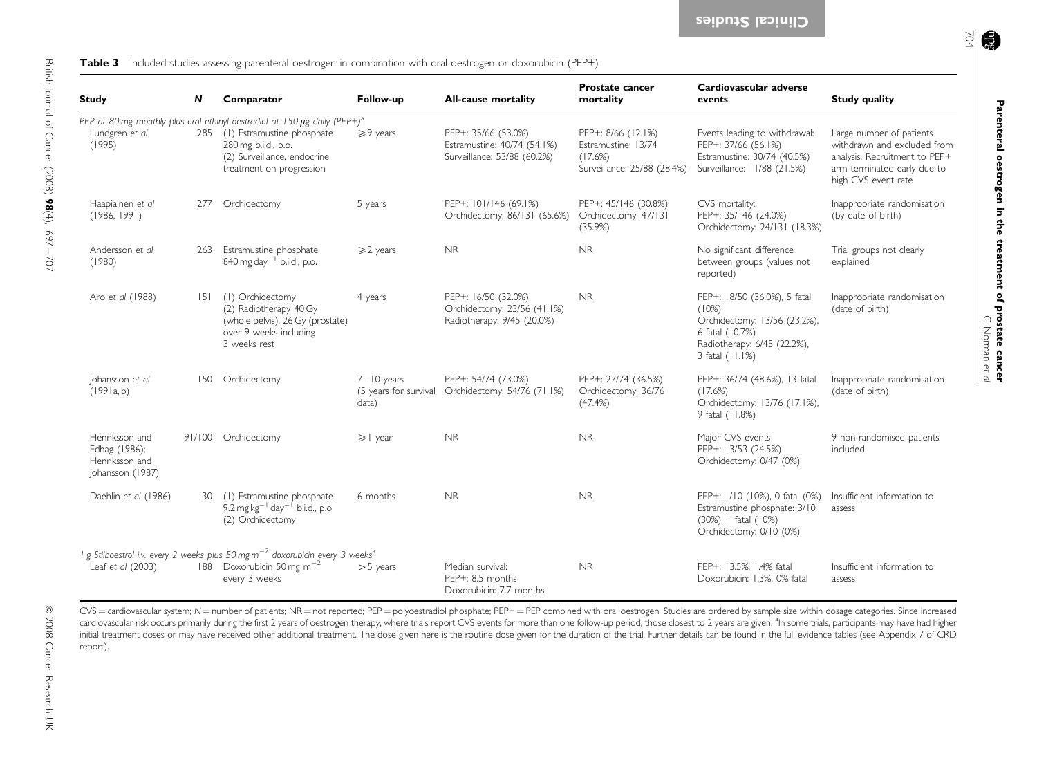<span id="page-7-0"></span>

| <b>Study</b>                                                          | N   | Comparator                                                                                                               | Follow-up                                        | <b>All-cause mortality</b>                                                        | <b>Prostate cancer</b><br>mortality                                                 | Cardiovascular adverse<br>events                                                                                                           | <b>Study quality</b>                                                                                                                           |
|-----------------------------------------------------------------------|-----|--------------------------------------------------------------------------------------------------------------------------|--------------------------------------------------|-----------------------------------------------------------------------------------|-------------------------------------------------------------------------------------|--------------------------------------------------------------------------------------------------------------------------------------------|------------------------------------------------------------------------------------------------------------------------------------------------|
|                                                                       |     | PEP at 80 mg monthly plus oral ethinyl oestradiol at 150 $\mu$ g daily (PEP+) <sup>a</sup>                               |                                                  |                                                                                   |                                                                                     |                                                                                                                                            |                                                                                                                                                |
| Lundgren et al<br>(1995)                                              | 285 | (1) Estramustine phosphate<br>280 mg b.i.d., p.o.<br>(2) Surveillance, endocrine<br>treatment on progression             | $\geqslant$ 9 years                              | PEP+: 35/66 (53.0%)<br>Estramustine: 40/74 (54.1%)<br>Surveillance: 53/88 (60.2%) | PEP+: 8/66 (12.1%)<br>Estramustine: 13/74<br>(17.6%)<br>Surveillance: 25/88 (28.4%) | Events leading to withdrawal:<br>PEP+: 37/66 (56.1%)<br>Estramustine: 30/74 (40.5%)<br>Surveillance: 11/88 (21.5%)                         | Large number of patients<br>withdrawn and excluded from<br>analysis. Recruitment to PEP+<br>arm terminated early due to<br>high CVS event rate |
| Haapiainen et al<br>(1986, 1991)                                      | 277 | Orchidectomy                                                                                                             | 5 years                                          | PEP+: 101/146 (69.1%)<br>Orchidectomy: 86/131 (65.6%)                             | PEP+: 45/146 (30.8%)<br>Orchidectomy: 47/131<br>(35.9%)                             | CVS mortality:<br>PEP+: 35/146 (24.0%)<br>Orchidectomy: 24/131 (18.3%)                                                                     | Inappropriate randomisation<br>(by date of birth)                                                                                              |
| Andersson et al<br>(1980)                                             | 263 | Estramustine phosphate<br>840 mg day <sup>-1</sup> b.i.d., p.o.                                                          | $\geqslant$ 2 years                              | NR.                                                                               | NR.                                                                                 | No significant difference<br>between groups (values not<br>reported)                                                                       | Trial groups not clearly<br>explained                                                                                                          |
| Aro et al (1988)                                                      | 5   | (1) Orchidectomy<br>(2) Radiotherapy 40 Gy<br>(whole pelvis), 26 Gy (prostate)<br>over 9 weeks including<br>3 weeks rest | 4 years                                          | PEP+: 16/50 (32.0%)<br>Orchidectomy: 23/56 (41.1%)<br>Radiotherapy: 9/45 (20.0%)  | <b>NR</b>                                                                           | PEP+: 18/50 (36.0%), 5 fatal<br>(10%)<br>Orchidectomy: 13/56 (23.2%),<br>6 fatal (10.7%)<br>Radiotherapy: 6/45 (22.2%),<br>3 fatal (11.1%) | Inappropriate randomisation<br>(date of birth)                                                                                                 |
| Johansson et al<br>(1991a, b)                                         | 150 | Orchidectomy                                                                                                             | $7 - 10$ years<br>(5 years for survival<br>data) | PEP+: 54/74 (73.0%)<br>Orchidectomy: 54/76 (71.1%)                                | PEP+: 27/74 (36.5%)<br>Orchidectomy: 36/76<br>(47.4%)                               | PEP+: 36/74 (48.6%), 13 fatal<br>(17.6%)<br>Orchidectomy: 13/76 (17.1%),<br>9 fatal (11.8%)                                                | Inappropriate randomisation<br>(date of birth)                                                                                                 |
| Henriksson and<br>Edhag (1986);<br>Henriksson and<br>Johansson (1987) |     | 91/100 Orchidectomy                                                                                                      | $\geqslant$   year                               | <b>NR</b>                                                                         | <b>NR</b>                                                                           | Major CVS events<br>PEP+: 13/53 (24.5%)<br>Orchidectomy: 0/47 (0%)                                                                         | 9 non-randomised patients<br>included                                                                                                          |
| Daehlin et al (1986)                                                  | 30. | (1) Estramustine phosphate<br>9.2 mg $kg^{-1}$ day <sup>-1</sup> b.i.d., p.o<br>(2) Orchidectomy                         | 6 months                                         | <b>NR</b>                                                                         | <b>NR</b>                                                                           | PEP+: 1/10 (10%), 0 fatal (0%)<br>Estramustine phosphate: 3/10<br>(30%), I fatal (10%)<br>Orchidectomy: 0/10 (0%)                          | Insufficient information to<br>assess                                                                                                          |
|                                                                       |     | I g Stilboestrol i.v. every 2 weeks plus 50 mg m $^{-2}$ doxorubicin every 3 weeks $^{\rm a}$                            |                                                  |                                                                                   |                                                                                     |                                                                                                                                            |                                                                                                                                                |
| Leaf et al (2003)                                                     |     | 188 Doxorubicin 50 mg m <sup>-2</sup><br>every 3 weeks                                                                   | $>5$ years                                       | Median survival:<br>PEP+: 8.5 months<br>Doxorubicin: 77 months                    | <b>NR</b>                                                                           | PEP+: 13.5%, 1.4% fatal<br>Doxorubicin: 1.3%, 0% fatal                                                                                     | Insufficient information to<br>assess                                                                                                          |

CVS = cardiovascular system; N = number of patients; NR = not reported; PEP = polyoestradiol phosphate; PEP+ = PEP combined with oral oestrogen. Studies are ordered by sample size within dosage categories. Since increased cardiovascular risk occurs primarily during the first 2 years of oestrogen therapy, where trials report CVS events for more than one follow-up period, those closest to 2 years are given. "In some trials, participants may h initial treatment doses or may have received other additional treatment. The dose given here is the routine dose given for the duration of the trial. Further details can be found in the full evidence tables (see Appendix 7 report).

Parenteral oestrogen in the treatment of prostate cancer

G Norman

et al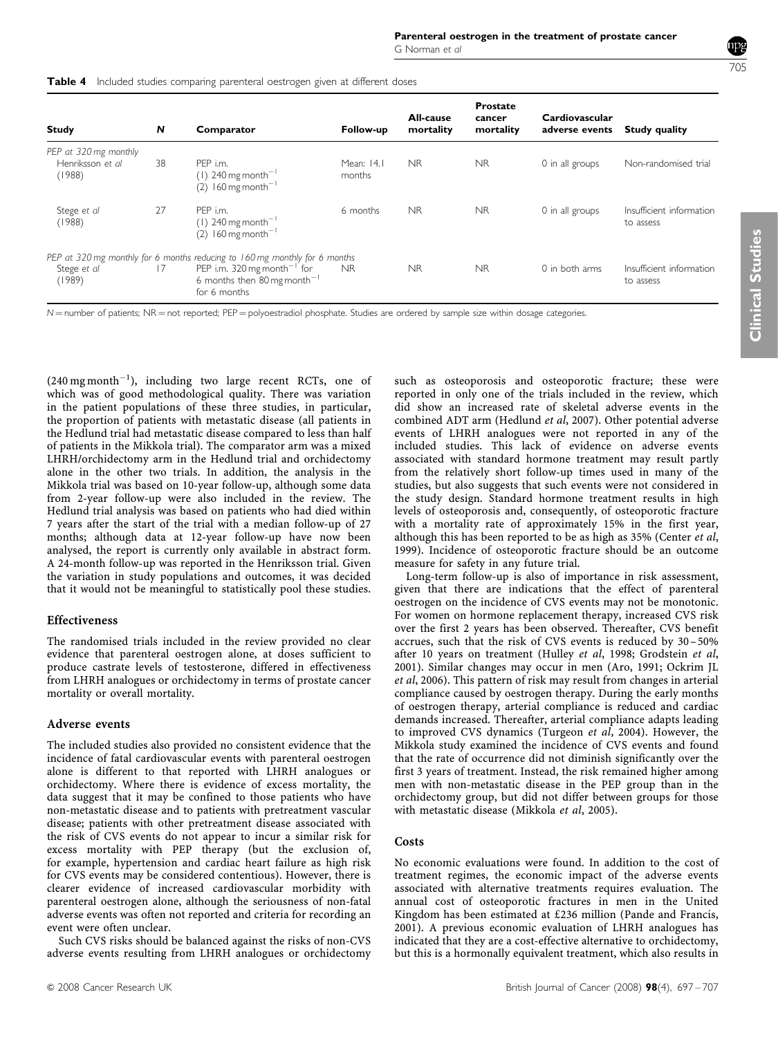<span id="page-8-0"></span>

| Table 4                                             | Included studies comparing parenteral oestrogen given at different doses |                                                                                                               |                      |                        |                                        |                                  |                                       |  |  |  |
|-----------------------------------------------------|--------------------------------------------------------------------------|---------------------------------------------------------------------------------------------------------------|----------------------|------------------------|----------------------------------------|----------------------------------|---------------------------------------|--|--|--|
| Study                                               | N                                                                        | Comparator                                                                                                    | Follow-up            | All-cause<br>mortality | <b>Prostate</b><br>cancer<br>mortality | Cardiovascular<br>adverse events | <b>Study quality</b>                  |  |  |  |
| PEP at 320 mg monthly<br>Henriksson et al<br>(1988) | 38                                                                       | PEP i.m.<br>$(1)$ 240 mg month <sup>-1</sup><br>$(2)$ 160 mg month <sup>-1</sup>                              | Mean: 14.1<br>months | NR.                    | <b>NR</b>                              | 0 in all groups                  | Non-randomised trial                  |  |  |  |
| Stege et al<br>(1988)                               | 27                                                                       | PEP i.m.<br>$(1)$ 240 mg month <sup>-1</sup><br>$(2)$ 160 mg month <sup>-1</sup>                              | 6 months             | NR.                    | <b>NR</b>                              | 0 in all groups                  | Insufficient information<br>to assess |  |  |  |
|                                                     |                                                                          | PEP at 320 mg monthly for 6 months reducing to 160 mg monthly for 6 months                                    |                      |                        |                                        |                                  |                                       |  |  |  |
| Stege et al<br>(1989)                               | 17                                                                       | PEP i.m. 320 mg month <sup>-1</sup> for<br>6 months then $80 \,\text{mg}$ month <sup>-1</sup><br>for 6 months | <b>NR</b>            | NR.                    | NR.                                    | 0 in both arms                   | Insufficient information<br>to assess |  |  |  |

 $N$  = number of patients; NR = not reported; PEP = polyoestradiol phosphate. Studies are ordered by sample size within dosage categories.

 $(240 \text{ mg month}^{-1})$ , including two large recent RCTs, one of which was of good methodological quality. There was variation in the patient populations of these three studies, in particular, the proportion of patients with metastatic disease (all patients in the Hedlund trial had metastatic disease compared to less than half of patients in the Mikkola trial). The comparator arm was a mixed LHRH/orchidectomy arm in the Hedlund trial and orchidectomy alone in the other two trials. In addition, the analysis in the Mikkola trial was based on 10-year follow-up, although some data from 2-year follow-up were also included in the review. The Hedlund trial analysis was based on patients who had died within 7 years after the start of the trial with a median follow-up of 27 months; although data at 12-year follow-up have now been analysed, the report is currently only available in abstract form. A 24-month follow-up was reported in the Henriksson trial. Given the variation in study populations and outcomes, it was decided that it would not be meaningful to statistically pool these studies.

#### Effectiveness

The randomised trials included in the review provided no clear evidence that parenteral oestrogen alone, at doses sufficient to produce castrate levels of testosterone, differed in effectiveness from LHRH analogues or orchidectomy in terms of prostate cancer mortality or overall mortality.

#### Adverse events

The included studies also provided no consistent evidence that the incidence of fatal cardiovascular events with parenteral oestrogen alone is different to that reported with LHRH analogues or orchidectomy. Where there is evidence of excess mortality, the data suggest that it may be confined to those patients who have non-metastatic disease and to patients with pretreatment vascular disease; patients with other pretreatment disease associated with the risk of CVS events do not appear to incur a similar risk for excess mortality with PEP therapy (but the exclusion of, for example, hypertension and cardiac heart failure as high risk for CVS events may be considered contentious). However, there is clearer evidence of increased cardiovascular morbidity with parenteral oestrogen alone, although the seriousness of non-fatal adverse events was often not reported and criteria for recording an event were often unclear.

Such CVS risks should be balanced against the risks of non-CVS adverse events resulting from LHRH analogues or orchidectomy such as osteoporosis and osteoporotic fracture; these were reported in only one of the trials included in the review, which did show an increased rate of skeletal adverse events in the combined ADT arm [\(Hedlund](#page-9-0) et al, 2007). Other potential adverse events of LHRH analogues were not reported in any of the included studies. This lack of evidence on adverse events associated with standard hormone treatment may result partly from the relatively short follow-up times used in many of the studies, but also suggests that such events were not considered in the study design. Standard hormone treatment results in high levels of osteoporosis and, consequently, of osteoporotic fracture with a mortality rate of approximately 15% in the first year, although this has been reported to be as high as 35% ([Center](#page-9-0) et al, [1999](#page-9-0)). Incidence of osteoporotic fracture should be an outcome measure for safety in any future trial.

Long-term follow-up is also of importance in risk assessment, given that there are indications that the effect of parenteral oestrogen on the incidence of CVS events may not be monotonic. For women on hormone replacement therapy, increased CVS risk over the first 2 years has been observed. Thereafter, CVS benefit accrues, such that the risk of CVS events is reduced by 30– 50% after 10 years on treatment ([Hulley](#page-10-0) et al, 1998; [Grodstein](#page-9-0) et al, [2001](#page-9-0)). Similar changes may occur in men [\(Aro, 1991;](#page-9-0) [Ockrim JL](#page-10-0) et al[, 2006](#page-10-0)). This pattern of risk may result from changes in arterial compliance caused by oestrogen therapy. During the early months of oestrogen therapy, arterial compliance is reduced and cardiac demands increased. Thereafter, arterial compliance adapts leading to improved CVS dynamics ([Turgeon](#page-10-0) et al, 2004). However, the Mikkola study examined the incidence of CVS events and found that the rate of occurrence did not diminish significantly over the first 3 years of treatment. Instead, the risk remained higher among men with non-metastatic disease in the PEP group than in the orchidectomy group, but did not differ between groups for those with metastatic disease ([Mikkola](#page-10-0) et al, 2005).

## **Costs**

No economic evaluations were found. In addition to the cost of treatment regimes, the economic impact of the adverse events associated with alternative treatments requires evaluation. The annual cost of osteoporotic fractures in men in the United Kingdom has been estimated at  $£236$  million ([Pande and Francis,](#page-10-0) [2001](#page-10-0)). A previous economic evaluation of LHRH analogues has indicated that they are a cost-effective alternative to orchidectomy, but this is a hormonally equivalent treatment, which also results in

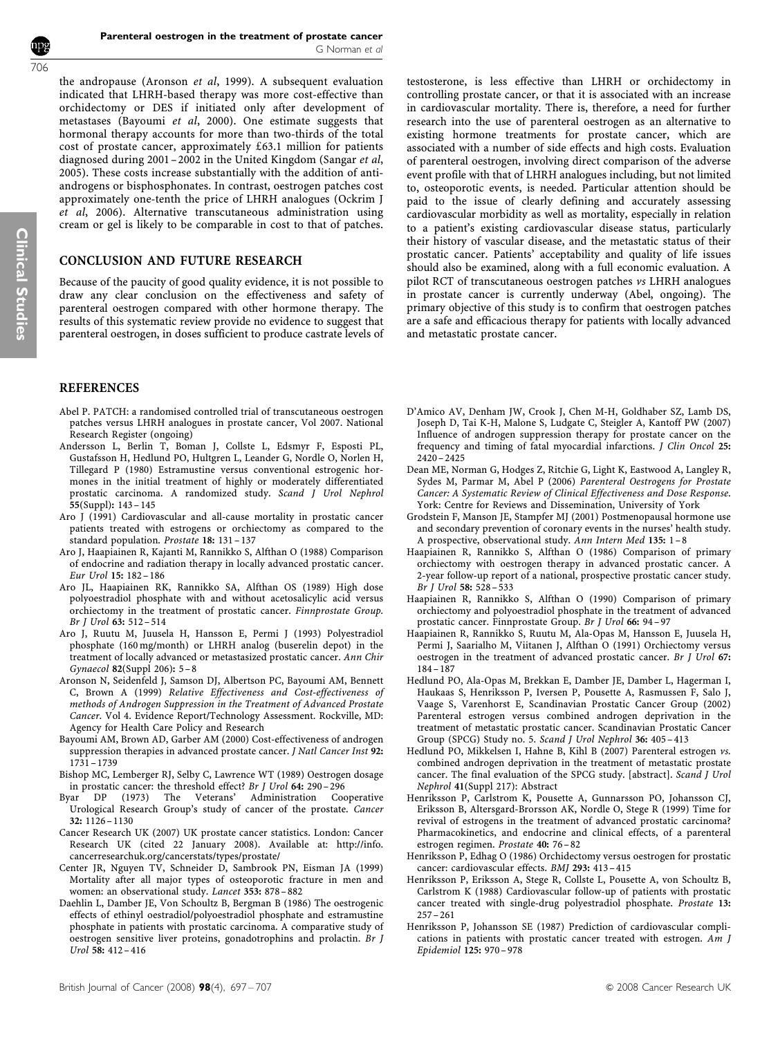<span id="page-9-0"></span>the andropause (Aronson et al, 1999). A subsequent evaluation indicated that LHRH-based therapy was more cost-effective than orchidectomy or DES if initiated only after development of metastases (Bayoumi et al, 2000). One estimate suggests that hormonal therapy accounts for more than two-thirds of the total cost of prostate cancer, approximately  $£63.1$  million for patients diagnosed during 2001 – 2002 in the United Kingdom ([Sangar](#page-10-0) et al, [2005\)](#page-10-0). These costs increase substantially with the addition of antiandrogens or bisphosphonates. In contrast, oestrogen patches cost approximately one-tenth the price of LHRH analogues ([Ockrim J](#page-10-0) et al[, 2006\)](#page-10-0). Alternative transcutaneous administration using cream or gel is likely to be comparable in cost to that of patches.

# CONCLUSION AND FUTURE RESEARCH

Because of the paucity of good quality evidence, it is not possible to draw any clear conclusion on the effectiveness and safety of parenteral oestrogen compared with other hormone therapy. The results of this systematic review provide no evidence to suggest that parenteral oestrogen, in doses sufficient to produce castrate levels of

# **REFERENCES**

- Abel P. PATCH: a randomised controlled trial of transcutaneous oestrogen patches versus LHRH analogues in prostate cancer, Vol 2007. National Research Register (ongoing)
- Andersson L, Berlin T, Boman J, Collste L, Edsmyr F, Esposti PL, Gustafsson H, Hedlund PO, Hultgren L, Leander G, Nordle O, Norlen H, Tillegard P (1980) Estramustine versus conventional estrogenic hormones in the initial treatment of highly or moderately differentiated prostatic carcinoma. A randomized study. Scand J Urol Nephrol 55(Suppl): 143 – 145
- Aro J (1991) Cardiovascular and all-cause mortality in prostatic cancer patients treated with estrogens or orchiectomy as compared to the standard population. Prostate 18: 131 – 137
- Aro J, Haapiainen R, Kajanti M, Rannikko S, Alfthan O (1988) Comparison of endocrine and radiation therapy in locally advanced prostatic cancer. Eur Urol 15: 182 – 186
- Aro JL, Haapiainen RK, Rannikko SA, Alfthan OS (1989) High dose polyoestradiol phosphate with and without acetosalicylic acid versus orchiectomy in the treatment of prostatic cancer. Finnprostate Group. Br J Urol 63: 512 – 514
- Aro J, Ruutu M, Juusela H, Hansson E, Permi J (1993) Polyestradiol phosphate (160 mg/month) or LHRH analog (buserelin depot) in the treatment of locally advanced or metastasized prostatic cancer. Ann Chir Gynaecol 82(Suppl 206): 5–8
- Aronson N, Seidenfeld J, Samson DJ, Albertson PC, Bayoumi AM, Bennett C, Brown A (1999) Relative Effectiveness and Cost-effectiveness of methods of Androgen Suppression in the Treatment of Advanced Prostate Cancer. Vol 4. Evidence Report/Technology Assessment. Rockville, MD: Agency for Health Care Policy and Research
- Bayoumi AM, Brown AD, Garber AM (2000) Cost-effectiveness of androgen suppression therapies in advanced prostate cancer. J Natl Cancer Inst 92: 1731 – 1739
- Bishop MC, Lemberger RJ, Selby C, Lawrence WT (1989) Oestrogen dosage in prostatic cancer: the threshold effect? Br J Urol 64: 290-296<br>Byar DP (1973) The Veterans' Administration Coo
- (1973) The Veterans' Administration Cooperative Urological Research Group's study of cancer of the prostate. Cancer 32: 1126 – 1130
- Cancer Research UK (2007) UK prostate cancer statistics. London: Cancer Research UK (cited 22 January 2008). Available at: [http://info.](http://info.cancerresearchuk.org/cancerstatus/types/prostrate) [cancerresearchuk.org/cancerstats/types/prostate/](http://info.cancerresearchuk.org/cancerstatus/types/prostrate)
- Center JR, Nguyen TV, Schneider D, Sambrook PN, Eisman JA (1999) Mortality after all major types of osteoporotic fracture in men and women: an observational study. Lancet 353: 878 – 882
- Daehlin L, Damber JE, Von Schoultz B, Bergman B (1986) The oestrogenic effects of ethinyl oestradiol/polyoestradiol phosphate and estramustine phosphate in patients with prostatic carcinoma. A comparative study of oestrogen sensitive liver proteins, gonadotrophins and prolactin. Br J Urol 58: 412 – 416

testosterone, is less effective than LHRH or orchidectomy in controlling prostate cancer, or that it is associated with an increase in cardiovascular mortality. There is, therefore, a need for further research into the use of parenteral oestrogen as an alternative to existing hormone treatments for prostate cancer, which are associated with a number of side effects and high costs. Evaluation of parenteral oestrogen, involving direct comparison of the adverse event profile with that of LHRH analogues including, but not limited to, osteoporotic events, is needed. Particular attention should be paid to the issue of clearly defining and accurately assessing cardiovascular morbidity as well as mortality, especially in relation to a patient's existing cardiovascular disease status, particularly their history of vascular disease, and the metastatic status of their prostatic cancer. Patients' acceptability and quality of life issues should also be examined, along with a full economic evaluation. A pilot RCT of transcutaneous oestrogen patches vs LHRH analogues in prostate cancer is currently underway (Abel, ongoing). The primary objective of this study is to confirm that oestrogen patches are a safe and efficacious therapy for patients with locally advanced and metastatic prostate cancer.

- D'Amico AV, Denham JW, Crook J, Chen M-H, Goldhaber SZ, Lamb DS, Joseph D, Tai K-H, Malone S, Ludgate C, Steigler A, Kantoff PW (2007) Influence of androgen suppression therapy for prostate cancer on the frequency and timing of fatal myocardial infarctions. J Clin Oncol 25: 2420 – 2425
- Dean ME, Norman G, Hodges Z, Ritchie G, Light K, Eastwood A, Langley R, Sydes M, Parmar M, Abel P (2006) Parenteral Oestrogens for Prostate Cancer: A Systematic Review of Clinical Effectiveness and Dose Response. York: Centre for Reviews and Dissemination, University of York
- Grodstein F, Manson JE, Stampfer MJ (2001) Postmenopausal hormone use and secondary prevention of coronary events in the nurses' health study. A prospective, observational study. Ann Intern Med 135: 1–8
- Haapiainen R, Rannikko S, Alfthan O (1986) Comparison of primary orchiectomy with oestrogen therapy in advanced prostatic cancer. A 2-year follow-up report of a national, prospective prostatic cancer study. Br J Urol 58: 528 – 533
- Haapiainen R, Rannikko S, Alfthan O (1990) Comparison of primary orchiectomy and polyoestradiol phosphate in the treatment of advanced prostatic cancer. Finnprostate Group. Br J Urol 66: 94 – 97
- Haapiainen R, Rannikko S, Ruutu M, Ala-Opas M, Hansson E, Juusela H, Permi J, Saarialho M, Viitanen J, Alfthan O (1991) Orchiectomy versus oestrogen in the treatment of advanced prostatic cancer. Br J Urol 67: 184 – 187
- Hedlund PO, Ala-Opas M, Brekkan E, Damber JE, Damber L, Hagerman I, Haukaas S, Henriksson P, Iversen P, Pousette A, Rasmussen F, Salo J, Vaage S, Varenhorst E, Scandinavian Prostatic Cancer Group (2002) Parenteral estrogen versus combined androgen deprivation in the treatment of metastatic prostatic cancer. Scandinavian Prostatic Cancer Group (SPCG) Study no. 5. Scand J Urol Nephrol 36: 405 – 413
- Hedlund PO, Mikkelsen I, Hahne B, Kihl B (2007) Parenteral estrogen vs. combined androgen deprivation in the treatment of metastatic prostate cancer. The final evaluation of the SPCG study. [abstract]. Scand J Urol Nephrol 41(Suppl 217): Abstract
- Henriksson P, Carlstrom K, Pousette A, Gunnarsson PO, Johansson CJ, Eriksson B, Altersgard-Brorsson AK, Nordle O, Stege R (1999) Time for revival of estrogens in the treatment of advanced prostatic carcinoma? Pharmacokinetics, and endocrine and clinical effects, of a parenteral estrogen regimen. Prostate 40: 76 – 82
- Henriksson P, Edhag O (1986) Orchidectomy versus oestrogen for prostatic cancer: cardiovascular effects. BMJ 293: 413 – 415
- Henriksson P, Eriksson A, Stege R, Collste L, Pousette A, von Schoultz B, Carlstrom K (1988) Cardiovascular follow-up of patients with prostatic cancer treated with single-drug polyestradiol phosphate. Prostate 13: 257 – 261
- Henriksson P, Johansson SE (1987) Prediction of cardiovascular complications in patients with prostatic cancer treated with estrogen. Am J Epidemiol 125: 970 – 978